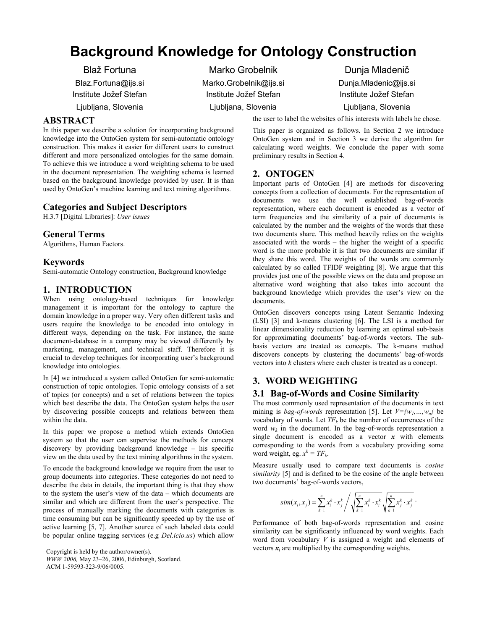# **Background Knowledge for Ontology Construction**

Blaž Fortuna Blaz.Fortuna@ijs.si Institute Jožef Stefan Ljubljana, Slovenia

Marko Grobelnik Marko.Grobelnik@ijs.si Institute Jožef Stefan Ljubljana, Slovenia

Dunja Mladenič Dunja.Mladenic@ijs.si Institute Jožef Stefan

Ljubljana, Slovenia

**ABSTRACT**

In this paper we describe a solution for incorporating background knowledge into the OntoGen system for semi-automatic ontology construction. This makes it easier for different users to construct different and more personalized ontologies for the same domain. To achieve this we introduce a word weighting schema to be used in the document representation. The weighting schema is learned based on the background knowledge provided by user. It is than used by OntoGen's machine learning and text mining algorithms.

# **Categories and Subject Descriptors**

H.3.7 [Digital Libraries]: *User issues* 

## **General Terms**

Algorithms, Human Factors.

#### **Keywords**

Semi-automatic Ontology construction, Background knowledge

### **1. INTRODUCTION**

When using ontology-based techniques for knowledge management it is important for the ontology to capture the domain knowledge in a proper way. Very often different tasks and users require the knowledge to be encoded into ontology in different ways, depending on the task. For instance, the same document-database in a company may be viewed differently by marketing, management, and technical staff. Therefore it is crucial to develop techniques for incorporating user's background knowledge into ontologies.

In [4] we introduced a system called OntoGen for semi-automatic construction of topic ontologies. Topic ontology consists of a set of topics (or concepts) and a set of relations between the topics which best describe the data. The OntoGen system helps the user by discovering possible concepts and relations between them within the data.

In this paper we propose a method which extends OntoGen system so that the user can supervise the methods for concept discovery by providing background knowledge – his specific view on the data used by the text mining algorithms in the system.

To encode the background knowledge we require from the user to group documents into categories. These categories do not need to describe the data in details, the important thing is that they show to the system the user's view of the data – which documents are similar and which are different from the user's perspective. The process of manually marking the documents with categories is time consuming but can be significantly speeded up by the use of active learning [5, 7]. Another source of such labeled data could be popular online tagging services (e.g *Del.icio.us*) which allow

*WWW 2006,* May 23–26, 2006, Edinburgh, Scotland. ACM 1-59593-323-9/06/0005.

This paper is organized as follows. In Section 2 we introduce OntoGen system and in Section 3 we derive the algorithm for calculating word weights. We conclude the paper with some preliminary results in Section 4.

the user to label the websites of his interests with labels he chose.

## **2. ONTOGEN**

Important parts of OntoGen [4] are methods for discovering concepts from a collection of documents. For the representation of documents we use the well established bag-of-words representation, where each document is encoded as a vector of term frequencies and the similarity of a pair of documents is calculated by the number and the weights of the words that these two documents share. This method heavily relies on the weights associated with the words – the higher the weight of a specific word is the more probable it is that two documents are similar if they share this word. The weights of the words are commonly calculated by so called TFIDF weighting [8]. We argue that this provides just one of the possible views on the data and propose an alternative word weighting that also takes into account the background knowledge which provides the user's view on the documents.

OntoGen discovers concepts using Latent Semantic Indexing (LSI) [3] and k-means clustering [6]. The LSI is a method for linear dimensionality reduction by learning an optimal sub-basis for approximating documents' bag-of-words vectors. The subbasis vectors are treated as concepts. The k-means method discovers concepts by clustering the documents' bag-of-words vectors into *k* clusters where each cluster is treated as a concept.

## **3. WORD WEIGHTING**

## **3.1 Bag-of-Words and Cosine Similarity**

The most commonly used representation of the documents in text mining is *bag-of-words* representation [5]. Let  $V=fw_1,...,w_n$  be vocabulary of words. Let  $TF_k$  be the number of occurrences of the word  $w_k$  in the document. In the bag-of-words representation a single document is encoded as a vector  $x$  with elements corresponding to the words from a vocabulary providing some word weight, eg.  $x^k = TF_k$ .

Measure usually used to compare text documents is *cosine similarity* [5] and is defined to be the cosine of the angle between two documents' bag-of-words vectors,

$$
sim(x_i, x_j) = \sum_{k=1}^n x_i^k \cdot x_j^k / \sqrt{\sum_{k=1}^n x_i^k \cdot x_i^k} \sqrt{\sum_{k=1}^n x_j^k \cdot x_j^k}.
$$

Performance of both bag-of-words representation and cosine similarity can be significantly influenced by word weights. Each word from vocabulary *V* is assigned a weight and elements of Copyright is held by the author/owner(s).  $\text{vectors } x_i$  are multiplied by the corresponding weights.